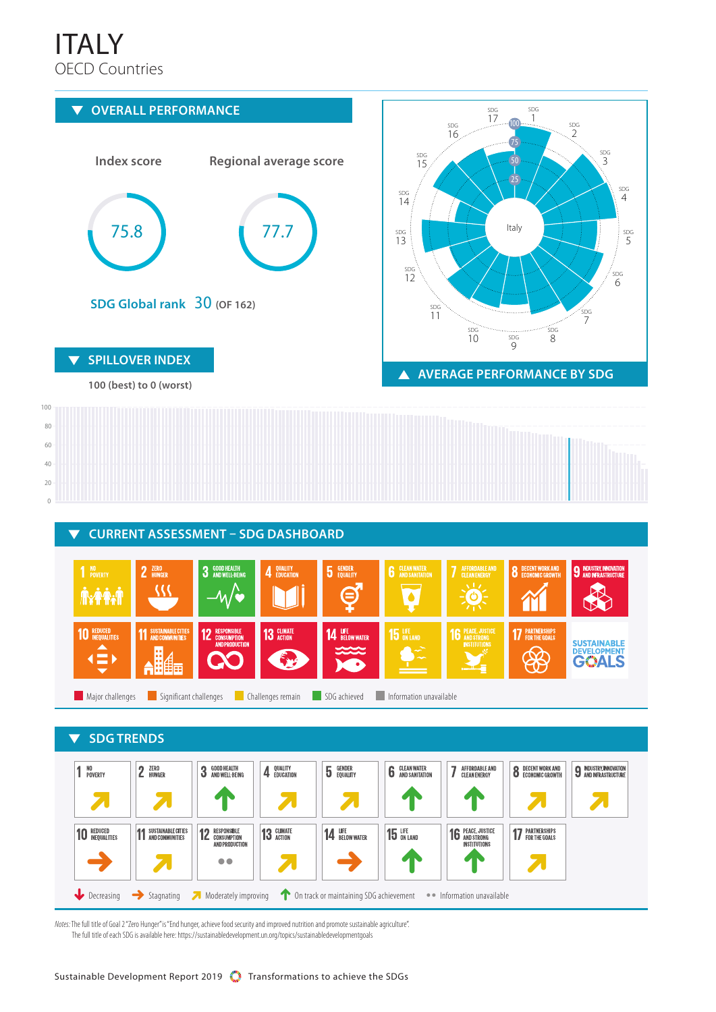## OECD Countries ITALY



*Notes:* The full title of Goal 2 "Zero Hunger" is "End hunger, achieve food security and improved nutrition and promote sustainable agriculture". The full title of each SDG is available here: https://sustainabledevelopment.un.org/topics/sustainabledevelopmentgoals